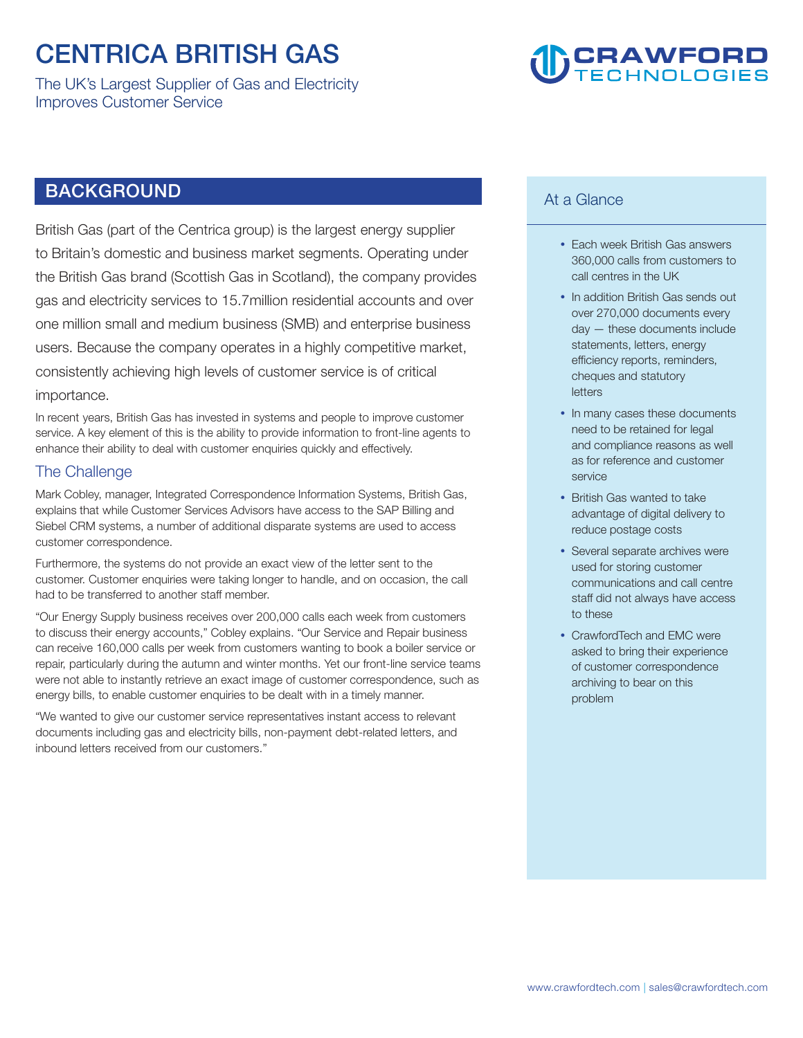### **CENTRICA BRITISH GAS**

**The UK's Largest Supplier of Gas and Electricity Improves Customer Service** 

## **CRAWFORD**

### **BACKGROUND**

**British Gas (part of the Centrica group) is the largest energy supplier to Britain's domestic and business market segments. Operating under the British Gas brand (Scottish Gas in Scotland), the company provides gas and electricity services to 15.7million residential accounts and over one million small and medium business (SMB) and enterprise business users. Because the company operates in a highly competitive market, consistently achieving high levels of customer service is of critical importance.** 

**In recent years, British Gas has invested in systems and people to improve customer service. A key element of this is the ability to provide information to front-line agents to enhance their ability to deal with customer enquiries quickly and effectively.** 

#### **The Challenge**

**Mark Cobley, manager, Integrated Correspondence Information Systems, British Gas, explains that while Customer Services Advisors have access to the SAP Billing and Siebel CRM systems, a number of additional disparate systems are used to access customer correspondence.** 

**Furthermore, the systems do not provide an exact view of the letter sent to the customer. Customer enquiries were taking longer to handle, and on occasion, the call had to be transferred to another staff member.** 

**"Our Energy Supply business receives over 200,000 calls each week from customers to discuss their energy accounts," Cobley explains. "Our Service and Repair business can receive 160,000 calls per week from customers wanting to book a boiler service or repair, particularly during the autumn and winter months. Yet our front-line service teams were not able to instantly retrieve an exact image of customer correspondence, such as energy bills, to enable customer enquiries to be dealt with in a timely manner.** 

**"We wanted to give our customer service representatives instant access to relevant documents including gas and electricity bills, non-payment debt-related letters, and inbound letters received from our customers."** 

#### **At a Glance**

- **Each week British Gas answers 360,000 calls from customers to call centres in the UK**
- **In addition British Gas sends out over 270,000 documents every day — these documents include statements, letters, energy efficiency reports, reminders, cheques and statutory letters**
- **In many cases these documents need to be retained for legal and compliance reasons as well as for reference and customer service**
- **British Gas wanted to take advantage of digital delivery to reduce postage costs**
- **Several separate archives were used for storing customer communications and call centre staff did not always have access to these**
- **CrawfordTech and EMC were asked to bring their experience of customer correspondence archiving to bear on this problem**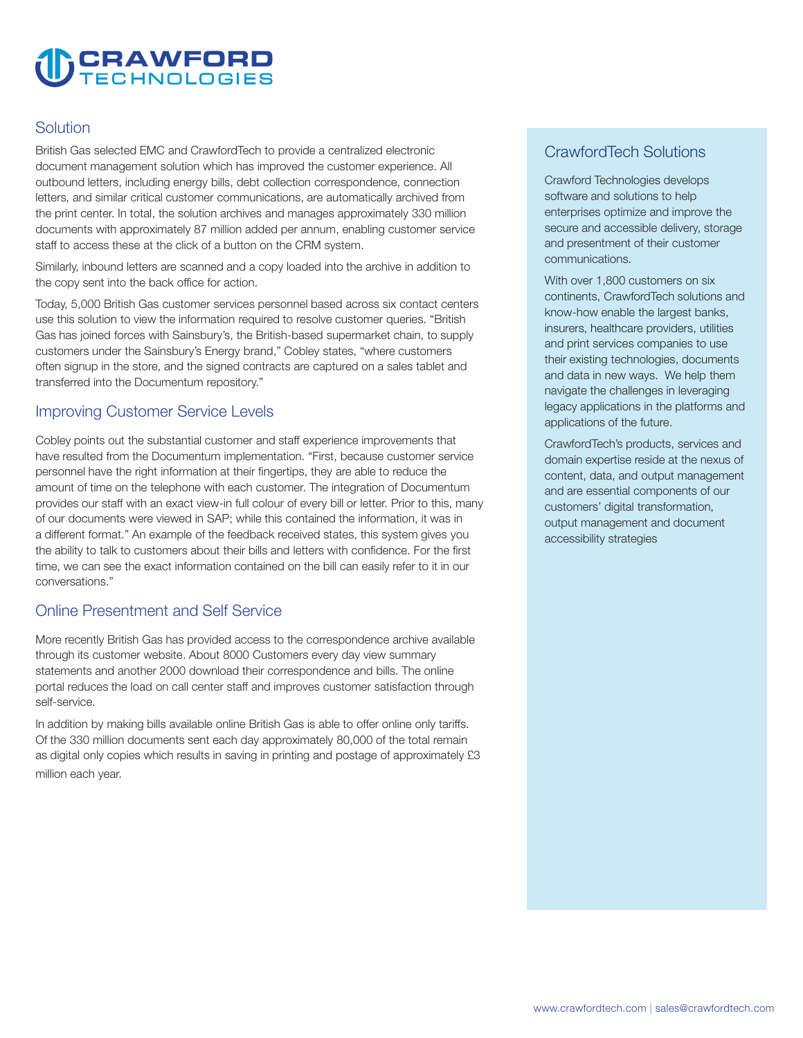# **CRAWFORD**

#### **Solution**

**British Gas selected EMC and CrawfordTech to provide a centralized electronic document management solution which has improved the customer experience. All outbound letters, including energy bills, debt collection correspondence, connection letters, and similar critical customer communications, are automatically archived from the print center. In total, the solution archives and manages approximately 330 million documents with approximately 87 million added per annum, enabling customer service staff to access these at the click of a button on the CRM system.** 

**Similarly, inbound letters are scanned and a copy loaded into the archive in addition to the copy sent into the back office for action.** 

**Today, 5,000 British Gas customer services personnel based across six contact centers use this solution to view the information required to resolve customer queries. "British Gas has joined forces with Sainsbury's, the British-based supermarket chain, to supply customers under the Sainsbury's Energy brand," Cobley states, "where customers often signup in the store, and the signed contracts are captured on a sales tablet and transferred into the Documentum repository."** 

#### **Improving Customer Service Levels**

**Cobley points out the substantial customer and staff experience improvements that have resulted from the Documentum implementation. "First, because customer service personnel have the right information at their fingertips, they are able to reduce the amount of time on the telephone with each customer. The integration of Documentum provides our staff with an exact view-in full colour of every bill or letter. Prior to this, many of our documents were viewed in SAP; while this contained the information, it was in a different format." An example of the feedback received states, this system gives you the ability to talk to customers about their bills and letters with confidence. For the first time, we can see the exact information contained on the bill can easily refer to it in our conversations."** 

#### **Online Presentment and Self Service**

**More recently British Gas has provided access to the correspondence archive available through its customer website. About 8000 Customers every day view summary statements and another 2000 download their correspondence and bills. The online portal reduces the load on call center staff and improves customer satisfaction through self-service.** 

**In addition by making bills available online British Gas is able to offer online only tariffs. Of the 330 million documents sent each day approximately 80,000 of the total remain as digital only copies which results in saving in printing and postage of approximately £3 million each year.** 

#### **CrawfordTech Solutions**

**Crawford Technologies develops software and solutions to help enterprises optimize and improve the secure and accessible delivery, storage and presentment of their customer communications.** 

**With over 1,800 customers on six continents, CrawfordTech solutions and know-how enable the largest banks, insurers, healthcare providers, utilities and print services companies to use their existing technologies, documents and data in new ways. We help them navigate the challenges in leveraging legacy applications in the platforms and applications of the future.** 

**CrawfordTech's products, services and domain expertise reside at the nexus of content, data, and output management and are essential components of our customers' digital transformation, output management and document accessibility strategies**